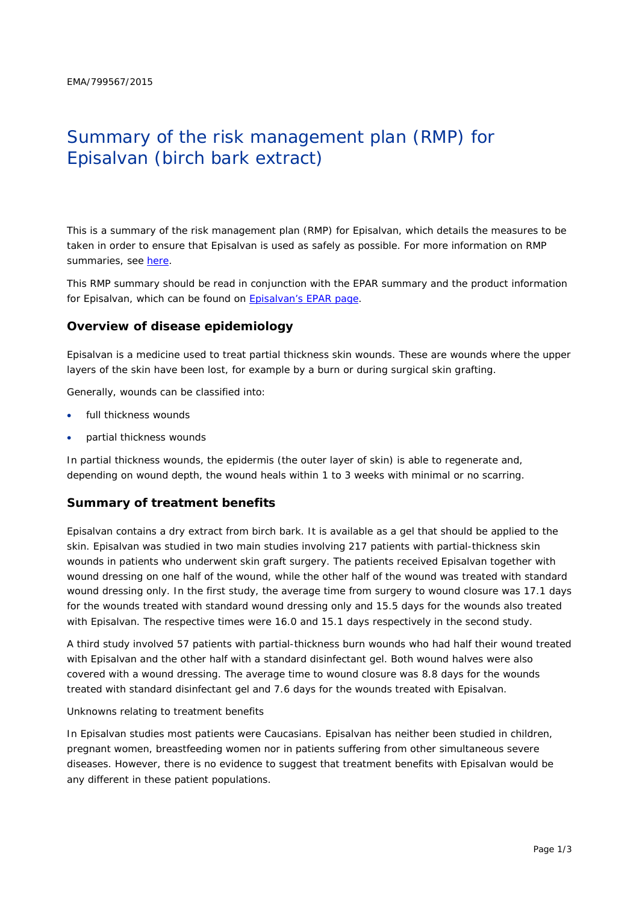# Summary of the risk management plan (RMP) for Episalvan (birch bark extract)

This is a summary of the risk management plan (RMP) for Episalvan, which details the measures to be taken in order to ensure that Episalvan is used as safely as possible. For more information on RMP summaries, see [here.](http://www.ema.europa.eu/docs/en_GB/document_library/Other/2014/05/WC500166101.pdf)

This RMP summary should be read in conjunction with the EPAR summary and the product information for Episalvan, which can be found on [Episalvan's EPAR page.](http://www.ema.europa.eu/ema/index.jsp?curl=/pages/medicines/human/medicines/003938/human_med_001956.jsp)

#### **Overview of disease epidemiology**

Episalvan is a medicine used to treat partial thickness skin wounds. These are wounds where the upper layers of the skin have been lost, for example by a burn or during surgical skin grafting.

Generally, wounds can be classified into:

- full thickness wounds
- partial thickness wounds

In partial thickness wounds, the epidermis (the outer layer of skin) is able to regenerate and, depending on wound depth, the wound heals within 1 to 3 weeks with minimal or no scarring.

#### **Summary of treatment benefits**

Episalvan contains a dry extract from birch bark. It is available as a gel that should be applied to the skin. Episalvan was studied in two main studies involving 217 patients with partial-thickness skin wounds in patients who underwent skin graft surgery. The patients received Episalvan together with wound dressing on one half of the wound, while the other half of the wound was treated with standard wound dressing only. In the first study, the average time from surgery to wound closure was 17.1 days for the wounds treated with standard wound dressing only and 15.5 days for the wounds also treated with Episalvan. The respective times were 16.0 and 15.1 days respectively in the second study.

A third study involved 57 patients with partial-thickness burn wounds who had half their wound treated with Episalvan and the other half with a standard disinfectant gel. Both wound halves were also covered with a wound dressing. The average time to wound closure was 8.8 days for the wounds treated with standard disinfectant gel and 7.6 days for the wounds treated with Episalvan.

#### Unknowns relating to treatment benefits

In Episalvan studies most patients were Caucasians. Episalvan has neither been studied in children, pregnant women, breastfeeding women nor in patients suffering from other simultaneous severe diseases. However, there is no evidence to suggest that treatment benefits with Episalvan would be any different in these patient populations.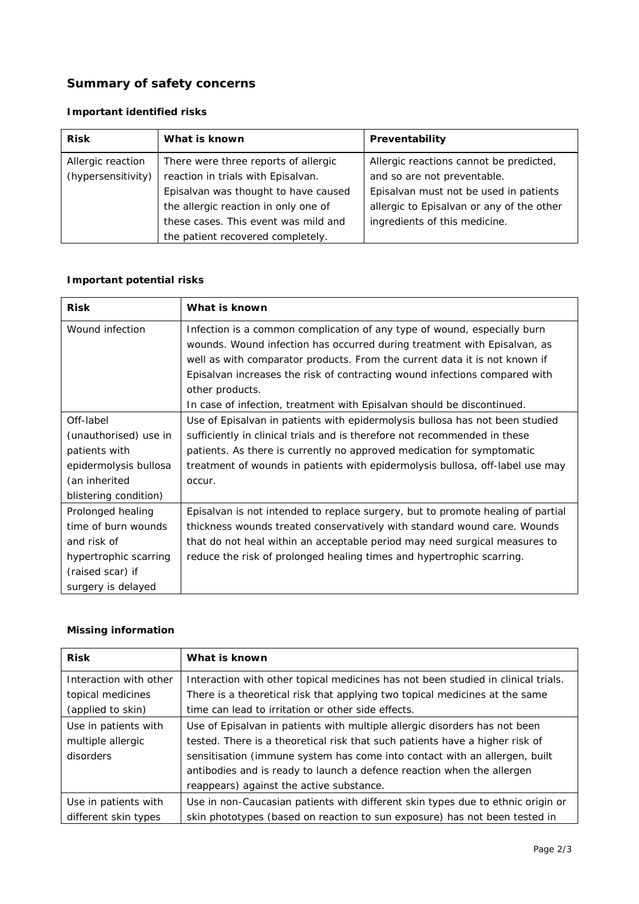## **Summary of safety concerns**

## *Important identified risks*

| <b>Risk</b>        | What is known                        | Preventability                            |
|--------------------|--------------------------------------|-------------------------------------------|
| Allergic reaction  | There were three reports of allergic | Allergic reactions cannot be predicted,   |
| (hypersensitivity) | reaction in trials with Episalvan.   | and so are not preventable.               |
|                    | Episalvan was thought to have caused | Episalvan must not be used in patients    |
|                    | the allergic reaction in only one of | allergic to Episalvan or any of the other |
|                    | these cases. This event was mild and | ingredients of this medicine.             |
|                    | the patient recovered completely.    |                                           |

## *Important potential risks*

| <b>Risk</b>           | What is known                                                                   |
|-----------------------|---------------------------------------------------------------------------------|
| Wound infection       | Infection is a common complication of any type of wound, especially burn        |
|                       | wounds. Wound infection has occurred during treatment with Episalvan, as        |
|                       | well as with comparator products. From the current data it is not known if      |
|                       | Episalvan increases the risk of contracting wound infections compared with      |
|                       | other products.                                                                 |
|                       | In case of infection, treatment with Episalvan should be discontinued.          |
| Off-label             | Use of Episalvan in patients with epidermolysis bullosa has not been studied    |
| (unauthorised) use in | sufficiently in clinical trials and is therefore not recommended in these       |
| patients with         | patients. As there is currently no approved medication for symptomatic          |
| epidermolysis bullosa | treatment of wounds in patients with epidermolysis bullosa, off-label use may   |
| (an inherited         | occur.                                                                          |
| blistering condition) |                                                                                 |
| Prolonged healing     | Episalvan is not intended to replace surgery, but to promote healing of partial |
| time of burn wounds   | thickness wounds treated conservatively with standard wound care. Wounds        |
| and risk of           | that do not heal within an acceptable period may need surgical measures to      |
| hypertrophic scarring | reduce the risk of prolonged healing times and hypertrophic scarring.           |
| (raised scar) if      |                                                                                 |
| surgery is delayed    |                                                                                 |

#### *Missing information*

| <b>Risk</b>            | What is known                                                                     |
|------------------------|-----------------------------------------------------------------------------------|
| Interaction with other | Interaction with other topical medicines has not been studied in clinical trials. |
| topical medicines      | There is a theoretical risk that applying two topical medicines at the same       |
| (applied to skin)      | time can lead to irritation or other side effects.                                |
| Use in patients with   | Use of Episalvan in patients with multiple allergic disorders has not been        |
| multiple allergic      | tested. There is a theoretical risk that such patients have a higher risk of      |
| disorders              | sensitisation (immune system has come into contact with an allergen, built        |
|                        | antibodies and is ready to launch a defence reaction when the allergen            |
|                        | reappears) against the active substance.                                          |
| Use in patients with   | Use in non-Caucasian patients with different skin types due to ethnic origin or   |
| different skin types   | skin phototypes (based on reaction to sun exposure) has not been tested in        |